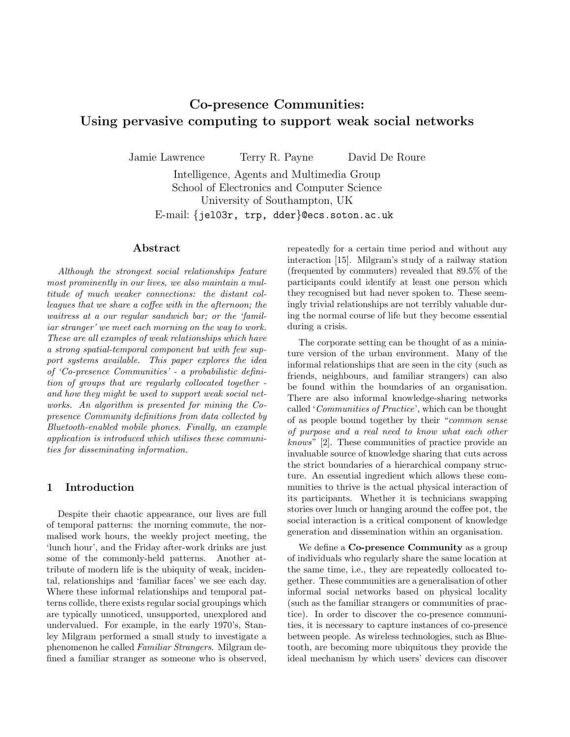# Co-presence Communities: Using pervasive computing to support weak social networks

Jamie Lawrence Terry R. Payne David De Roure

Intelligence, Agents and Multimedia Group School of Electronics and Computer Science University of Southampton, UK E-mail: {jel03r, trp, dder}@ecs.soton.ac.uk

## Abstract

Although the strongest social relationships feature most prominently in our lives, we also maintain a multitude of much weaker connections: the distant colleagues that we share a coffee with in the afternoon; the waitress at a our regular sandwich bar; or the 'familiar stranger' we meet each morning on the way to work. These are all examples of weak relationships which have a strong spatial-temporal component but with few support systems available. This paper explores the idea of 'Co-presence Communities' - a probabilistic definition of groups that are regularly collocated together and how they might be used to support weak social networks. An algorithm is presented for mining the Copresence Community definitions from data collected by Bluetooth-enabled mobile phones. Finally, an example application is introduced which utilises these communities for disseminating information.

# 1 Introduction

Despite their chaotic appearance, our lives are full of temporal patterns: the morning commute, the normalised work hours, the weekly project meeting, the 'lunch hour', and the Friday after-work drinks are just some of the commonly-held patterns. Another attribute of modern life is the ubiquity of weak, incidental, relationships and 'familiar faces' we see each day. Where these informal relationships and temporal patterns collide, there exists regular social groupings which are typically unnoticed, unsupported, unexplored and undervalued. For example, in the early 1970's, Stanley Milgram performed a small study to investigate a phenomenon he called Familiar Strangers. Milgram defined a familiar stranger as someone who is observed, repeatedly for a certain time period and without any interaction [15]. Milgram's study of a railway station (frequented by commuters) revealed that 89.5% of the participants could identify at least one person which they recognised but had never spoken to. These seemingly trivial relationships are not terribly valuable during the normal course of life but they become essential during a crisis.

The corporate setting can be thought of as a miniature version of the urban environment. Many of the informal relationships that are seen in the city (such as friends, neighbours, and familiar strangers) can also be found within the boundaries of an organisation. There are also informal knowledge-sharing networks called 'Communities of Practice', which can be thought of as people bound together by their "common sense of purpose and a real need to know what each other knows" [2]. These communities of practice provide an invaluable source of knowledge sharing that cuts across the strict boundaries of a hierarchical company structure. An essential ingredient which allows these communities to thrive is the actual physical interaction of its participants. Whether it is technicians swapping stories over lunch or hanging around the coffee pot, the social interaction is a critical component of knowledge generation and dissemination within an organisation.

We define a **Co-presence Community** as a group of individuals who regularly share the same location at the same time, i.e., they are repeatedly collocated together. These communities are a generalisation of other informal social networks based on physical locality (such as the familiar strangers or communities of practice). In order to discover the co-presence communities, it is necessary to capture instances of co-presence between people. As wireless technologies, such as Bluetooth, are becoming more ubiquitous they provide the ideal mechanism by which users' devices can discover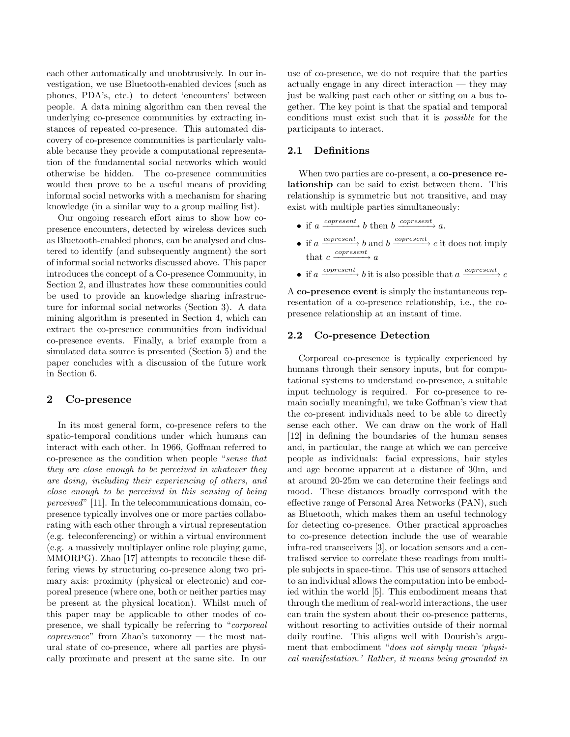each other automatically and unobtrusively. In our investigation, we use Bluetooth-enabled devices (such as phones, PDA's, etc.) to detect 'encounters' between people. A data mining algorithm can then reveal the underlying co-presence communities by extracting instances of repeated co-presence. This automated discovery of co-presence communities is particularly valuable because they provide a computational representation of the fundamental social networks which would otherwise be hidden. The co-presence communities would then prove to be a useful means of providing informal social networks with a mechanism for sharing knowledge (in a similar way to a group mailing list).

Our ongoing research effort aims to show how copresence encounters, detected by wireless devices such as Bluetooth-enabled phones, can be analysed and clustered to identify (and subsequently augment) the sort of informal social networks discussed above. This paper introduces the concept of a Co-presence Community, in Section 2, and illustrates how these communities could be used to provide an knowledge sharing infrastructure for informal social networks (Section 3). A data mining algorithm is presented in Section 4, which can extract the co-presence communities from individual co-presence events. Finally, a brief example from a simulated data source is presented (Section 5) and the paper concludes with a discussion of the future work in Section 6.

## 2 Co-presence

In its most general form, co-presence refers to the spatio-temporal conditions under which humans can interact with each other. In 1966, Goffman referred to co-presence as the condition when people "sense that they are close enough to be perceived in whatever they are doing, including their experiencing of others, and close enough to be perceived in this sensing of being perceived" [11]. In the telecommunications domain, copresence typically involves one or more parties collaborating with each other through a virtual representation (e.g. teleconferencing) or within a virtual environment (e.g. a massively multiplayer online role playing game, MMORPG). Zhao [17] attempts to reconcile these differing views by structuring co-presence along two primary axis: proximity (physical or electronic) and corporeal presence (where one, both or neither parties may be present at the physical location). Whilst much of this paper may be applicable to other modes of copresence, we shall typically be referring to "corporeal  $\textit{converse}$  from Zhao's taxonomy — the most natural state of co-presence, where all parties are physically proximate and present at the same site. In our

use of co-presence, we do not require that the parties actually engage in any direct interaction — they may just be walking past each other or sitting on a bus together. The key point is that the spatial and temporal conditions must exist such that it is possible for the participants to interact.

# 2.1 Definitions

When two parties are co-present, a co-presence relationship can be said to exist between them. This relationship is symmetric but not transitive, and may exist with multiple parties simultaneously:

- if  $a \xrightarrow{copresent} b$  then  $b \xrightarrow{copresent} a$ .
- if  $a \xrightarrow{copresent} b$  and  $b \xrightarrow{copresent} c$  it does not imply that  $c \xrightarrow{copresent} a$
- if a  $\frac{copresent}{\longrightarrow}$  b it is also possible that a  $\frac{copresent}{\longrightarrow}$  c

A co-presence event is simply the instantaneous representation of a co-presence relationship, i.e., the copresence relationship at an instant of time.

### 2.2 Co-presence Detection

Corporeal co-presence is typically experienced by humans through their sensory inputs, but for computational systems to understand co-presence, a suitable input technology is required. For co-presence to remain socially meaningful, we take Goffman's view that the co-present individuals need to be able to directly sense each other. We can draw on the work of Hall [12] in defining the boundaries of the human senses and, in particular, the range at which we can perceive people as individuals: facial expressions, hair styles and age become apparent at a distance of 30m, and at around 20-25m we can determine their feelings and mood. These distances broadly correspond with the effective range of Personal Area Networks (PAN), such as Bluetooth, which makes them an useful technology for detecting co-presence. Other practical approaches to co-presence detection include the use of wearable infra-red transceivers [3], or location sensors and a centralised service to correlate these readings from multiple subjects in space-time. This use of sensors attached to an individual allows the computation into be embodied within the world [5]. This embodiment means that through the medium of real-world interactions, the user can train the system about their co-presence patterns, without resorting to activities outside of their normal daily routine. This aligns well with Dourish's argument that embodiment "*does not simply mean* '*physi*cal manifestation.' Rather, it means being grounded in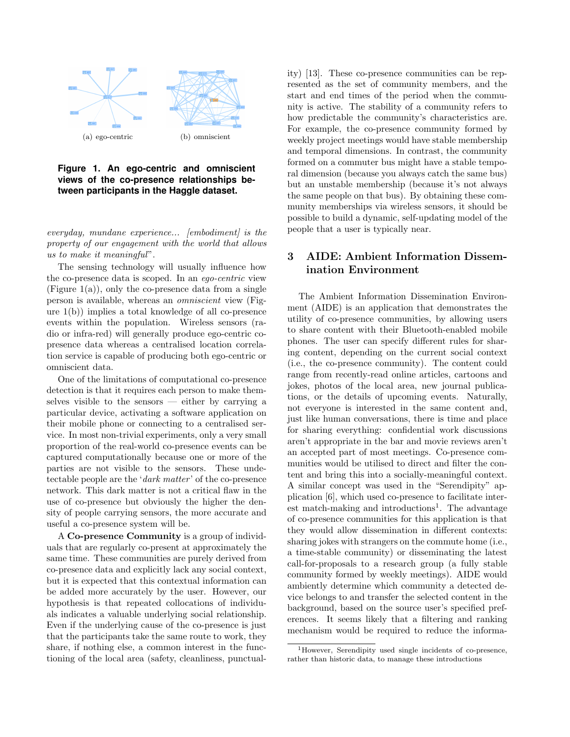

**Figure 1. An ego-centric and omniscient views of the co-presence relationships between participants in the Haggle dataset.**

everyday, mundane experience... [embodiment] is the property of our engagement with the world that allows us to make it meaningful".

The sensing technology will usually influence how the co-presence data is scoped. In an ego-centric view (Figure  $1(a)$ ), only the co-presence data from a single person is available, whereas an omniscient view (Figure 1(b)) implies a total knowledge of all co-presence events within the population. Wireless sensors (radio or infra-red) will generally produce ego-centric copresence data whereas a centralised location correlation service is capable of producing both ego-centric or omniscient data.

One of the limitations of computational co-presence detection is that it requires each person to make themselves visible to the sensors  $-$  either by carrying a particular device, activating a software application on their mobile phone or connecting to a centralised service. In most non-trivial experiments, only a very small proportion of the real-world co-presence events can be captured computationally because one or more of the parties are not visible to the sensors. These undetectable people are the 'dark matter' of the co-presence network. This dark matter is not a critical flaw in the use of co-presence but obviously the higher the density of people carrying sensors, the more accurate and useful a co-presence system will be.

A Co-presence Community is a group of individuals that are regularly co-present at approximately the same time. These communities are purely derived from co-presence data and explicitly lack any social context, but it is expected that this contextual information can be added more accurately by the user. However, our hypothesis is that repeated collocations of individuals indicates a valuable underlying social relationship. Even if the underlying cause of the co-presence is just that the participants take the same route to work, they share, if nothing else, a common interest in the functioning of the local area (safety, cleanliness, punctuality) [13]. These co-presence communities can be represented as the set of community members, and the start and end times of the period when the community is active. The stability of a community refers to how predictable the community's characteristics are. For example, the co-presence community formed by weekly project meetings would have stable membership and temporal dimensions. In contrast, the community formed on a commuter bus might have a stable temporal dimension (because you always catch the same bus) but an unstable membership (because it's not always the same people on that bus). By obtaining these community memberships via wireless sensors, it should be possible to build a dynamic, self-updating model of the people that a user is typically near.

# 3 AIDE: Ambient Information Dissemination Environment

The Ambient Information Dissemination Environment (AIDE) is an application that demonstrates the utility of co-presence communities, by allowing users to share content with their Bluetooth-enabled mobile phones. The user can specify different rules for sharing content, depending on the current social context (i.e., the co-presence community). The content could range from recently-read online articles, cartoons and jokes, photos of the local area, new journal publications, or the details of upcoming events. Naturally, not everyone is interested in the same content and, just like human conversations, there is time and place for sharing everything: confidential work discussions aren't appropriate in the bar and movie reviews aren't an accepted part of most meetings. Co-presence communities would be utilised to direct and filter the content and bring this into a socially-meaningful context. A similar concept was used in the "Serendipity" application [6], which used co-presence to facilitate interest match-making and introductions<sup>1</sup>. The advantage of co-presence communities for this application is that they would allow dissemination in different contexts: sharing jokes with strangers on the commute home (i.e., a time-stable community) or disseminating the latest call-for-proposals to a research group (a fully stable community formed by weekly meetings). AIDE would ambiently determine which community a detected device belongs to and transfer the selected content in the background, based on the source user's specified preferences. It seems likely that a filtering and ranking mechanism would be required to reduce the informa-

<sup>1</sup>However, Serendipity used single incidents of co-presence, rather than historic data, to manage these introductions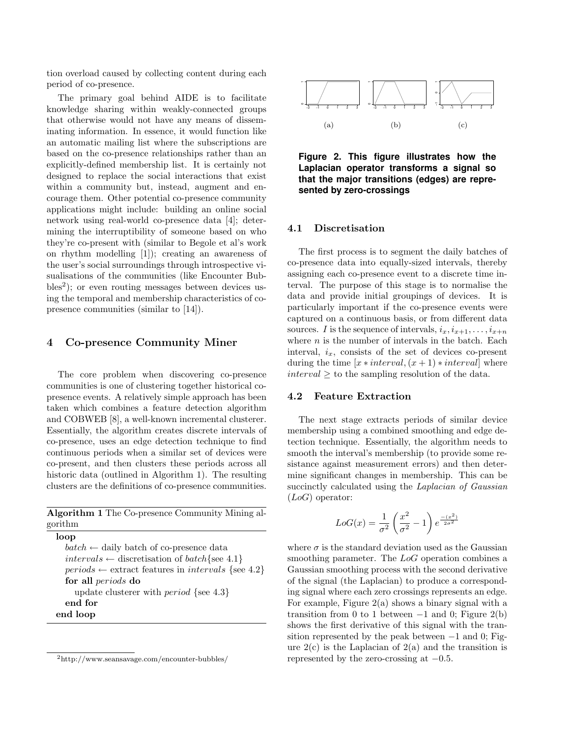tion overload caused by collecting content during each period of co-presence.

The primary goal behind AIDE is to facilitate knowledge sharing within weakly-connected groups that otherwise would not have any means of disseminating information. In essence, it would function like an automatic mailing list where the subscriptions are based on the co-presence relationships rather than an explicitly-defined membership list. It is certainly not designed to replace the social interactions that exist within a community but, instead, augment and encourage them. Other potential co-presence community applications might include: building an online social network using real-world co-presence data [4]; determining the interruptibility of someone based on who they're co-present with (similar to Begole et al's work on rhythm modelling [1]); creating an awareness of the user's social surroundings through introspective visualisations of the communities (like Encounter Bub $bles<sup>2</sup>$ ); or even routing messages between devices using the temporal and membership characteristics of copresence communities (similar to [14]).

# 4 Co-presence Community Miner

The core problem when discovering co-presence communities is one of clustering together historical copresence events. A relatively simple approach has been taken which combines a feature detection algorithm and COBWEB [8], a well-known incremental clusterer. Essentially, the algorithm creates discrete intervals of co-presence, uses an edge detection technique to find continuous periods when a similar set of devices were co-present, and then clusters these periods across all historic data (outlined in Algorithm 1). The resulting clusters are the definitions of co-presence communities.

Algorithm 1 The Co-presence Community Mining algorithm

| loop                                                                |
|---------------------------------------------------------------------|
| $batch \leftarrow$ daily batch of co-presence data                  |
| $intervals \leftarrow discretisation of batch\{see 4.1\}$           |
| $periods \leftarrow$ extract features in <i>intervals</i> {see 4.2} |
| for all <i>periods</i> do                                           |
| update clusterer with <i>period</i> {see $4.3$ }                    |
| end for                                                             |
| end loop                                                            |
|                                                                     |

<sup>2</sup>http://www.seansavage.com/encounter-bubbles/



**Figure 2. This figure illustrates how the Laplacian operator transforms a signal so that the major transitions (edges) are represented by zero-crossings**

### 4.1 Discretisation

The first process is to segment the daily batches of co-presence data into equally-sized intervals, thereby assigning each co-presence event to a discrete time interval. The purpose of this stage is to normalise the data and provide initial groupings of devices. It is particularly important if the co-presence events were captured on a continuous basis, or from different data sources. I is the sequence of intervals,  $i_x, i_{x+1}, \ldots, i_{x+n}$ where  $n$  is the number of intervals in the batch. Each interval,  $i_x$ , consists of the set of devices co-present during the time  $[x * interval, (x + 1) * interval]$  where  $interval \geq$  to the sampling resolution of the data.

#### 4.2 Feature Extraction

The next stage extracts periods of similar device membership using a combined smoothing and edge detection technique. Essentially, the algorithm needs to smooth the interval's membership (to provide some resistance against measurement errors) and then determine significant changes in membership. This can be succinctly calculated using the *Laplacian of Gaussian*  $(LoG)$  operator:

$$
LoG(x) = \frac{1}{\sigma^2} \left( \frac{x^2}{\sigma^2} - 1 \right) e^{\frac{-(x^2)}{2\sigma^2}}
$$

where  $\sigma$  is the standard deviation used as the Gaussian smoothing parameter. The LoG operation combines a Gaussian smoothing process with the second derivative of the signal (the Laplacian) to produce a corresponding signal where each zero crossings represents an edge. For example, Figure 2(a) shows a binary signal with a transition from 0 to 1 between  $-1$  and 0; Figure 2(b) shows the first derivative of this signal with the transition represented by the peak between  $-1$  and 0; Figure  $2(c)$  is the Laplacian of  $2(a)$  and the transition is represented by the zero-crossing at  $-0.5$ .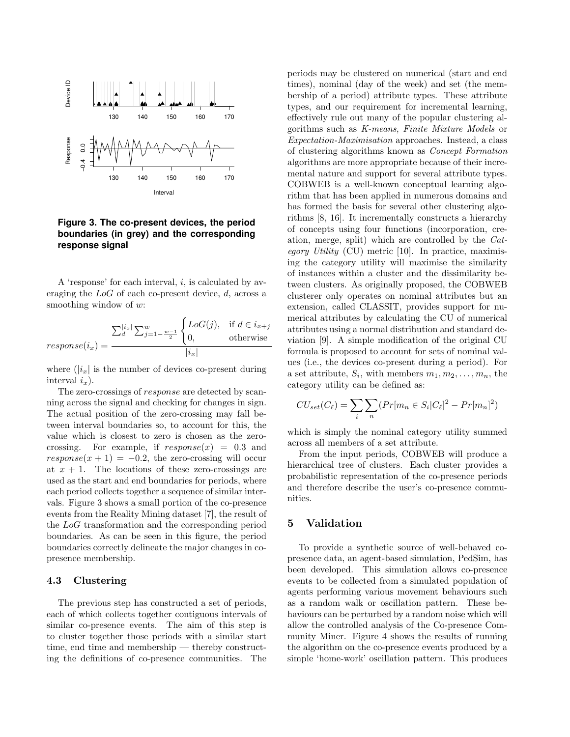

**Figure 3. The co-present devices, the period boundaries (in grey) and the corresponding response signal**

A 'response' for each interval,  $i$ , is calculated by averaging the LoG of each co-present device, d, across a smoothing window of w:

$$
response(i_x) = \frac{\sum_{d}^{|i_x|} \sum_{j=1-\frac{w-1}{2}}^{w} \begin{cases} LoG(j), & \text{if } d \in i_{x+j} \\ 0, & \text{otherwise} \end{cases}}{|i_x|}
$$

where  $(|i_x|)$  is the number of devices co-present during interval  $i_r$ ).

The zero-crossings of response are detected by scanning across the signal and checking for changes in sign. The actual position of the zero-crossing may fall between interval boundaries so, to account for this, the value which is closest to zero is chosen as the zerocrossing. For example, if  $response(x) = 0.3$  and  $response(x + 1) = -0.2$ , the zero-crossing will occur at  $x + 1$ . The locations of these zero-crossings are used as the start and end boundaries for periods, where each period collects together a sequence of similar intervals. Figure 3 shows a small portion of the co-presence events from the Reality Mining dataset [7], the result of the LoG transformation and the corresponding period boundaries. As can be seen in this figure, the period boundaries correctly delineate the major changes in copresence membership.

## 4.3 Clustering

The previous step has constructed a set of periods, each of which collects together contiguous intervals of similar co-presence events. The aim of this step is to cluster together those periods with a similar start time, end time and membership — thereby constructing the definitions of co-presence communities. The periods may be clustered on numerical (start and end times), nominal (day of the week) and set (the membership of a period) attribute types. These attribute types, and our requirement for incremental learning, effectively rule out many of the popular clustering algorithms such as K-means, Finite Mixture Models or Expectation-Maximisation approaches. Instead, a class of clustering algorithms known as Concept Formation algorithms are more appropriate because of their incremental nature and support for several attribute types. COBWEB is a well-known conceptual learning algorithm that has been applied in numerous domains and has formed the basis for several other clustering algorithms [8, 16]. It incrementally constructs a hierarchy of concepts using four functions (incorporation, creation, merge, split) which are controlled by the Category Utility  $(CU)$  metric [10]. In practice, maximising the category utility will maximise the similarity of instances within a cluster and the dissimilarity between clusters. As originally proposed, the COBWEB clusterer only operates on nominal attributes but an extension, called CLASSIT, provides support for numerical attributes by calculating the CU of numerical attributes using a normal distribution and standard deviation [9]. A simple modification of the original CU formula is proposed to account for sets of nominal values (i.e., the devices co-present during a period). For a set attribute,  $S_i$ , with members  $m_1, m_2, \ldots, m_n$ , the category utility can be defined as:

$$
CU_{set}(C_{\ell}) = \sum_{i} \sum_{n} (Pr[m_{n} \in S_{i} | C_{\ell}]^{2} - Pr[m_{n}]^{2})
$$

which is simply the nominal category utility summed across all members of a set attribute.

From the input periods, COBWEB will produce a hierarchical tree of clusters. Each cluster provides a probabilistic representation of the co-presence periods and therefore describe the user's co-presence communities.

# 5 Validation

To provide a synthetic source of well-behaved copresence data, an agent-based simulation, PedSim, has been developed. This simulation allows co-presence events to be collected from a simulated population of agents performing various movement behaviours such as a random walk or oscillation pattern. These behaviours can be perturbed by a random noise which will allow the controlled analysis of the Co-presence Community Miner. Figure 4 shows the results of running the algorithm on the co-presence events produced by a simple 'home-work' oscillation pattern. This produces